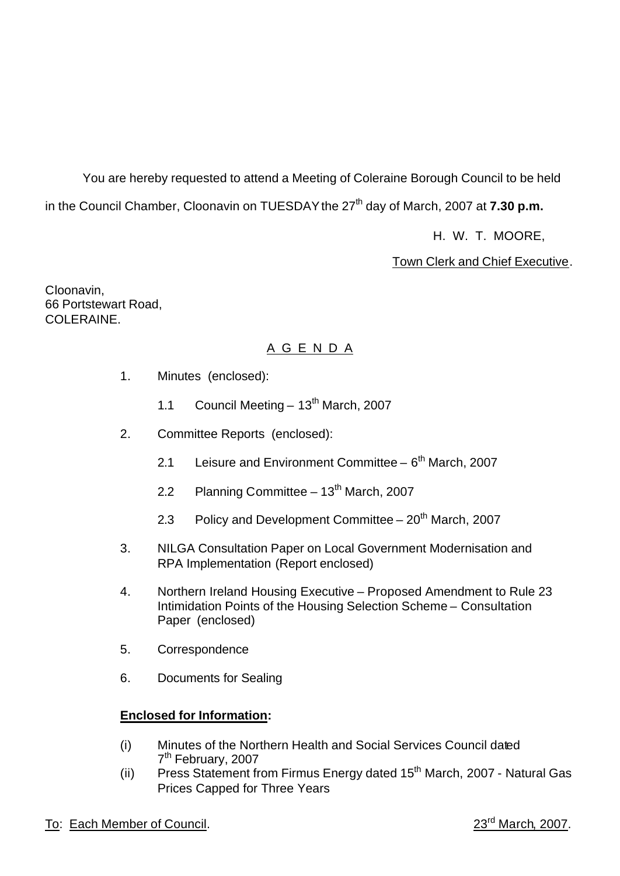You are hereby requested to attend a Meeting of Coleraine Borough Council to be held in the Council Chamber, Cloonavin on TUESDAY the 27<sup>th</sup> day of March, 2007 at **7.30 p.m.** 

H. W. T. MOORE,

Town Clerk and Chief Executive.

Cloonavin, 66 Portstewart Road, COLERAINE.

# A G E N D A

- 1. Minutes (enclosed):
	- 1.1 Council Meeting  $13<sup>th</sup>$  March, 2007
- 2. Committee Reports (enclosed):
	- 2.1 Leisure and Environment Committee  $6<sup>th</sup>$  March, 2007
	- 2.2 Planning Committee  $-13<sup>th</sup>$  March, 2007
	- 2.3 Policy and Development Committee  $20<sup>th</sup>$  March, 2007
- 3. NILGA Consultation Paper on Local Government Modernisation and RPA Implementation (Report enclosed)
- 4. Northern Ireland Housing Executive Proposed Amendment to Rule 23 Intimidation Points of the Housing Selection Scheme – Consultation Paper (enclosed)
- 5. Correspondence
- 6. Documents for Sealing

# **Enclosed for Information:**

- (i) Minutes of the Northern Health and Social Services Council dated 7<sup>th</sup> February, 2007
- (ii) Press Statement from Firmus Energy dated  $15<sup>th</sup>$  March, 2007 Natural Gas Prices Capped for Three Years
- To: Each Member of Council. 23<sup>rd</sup> March, 2007.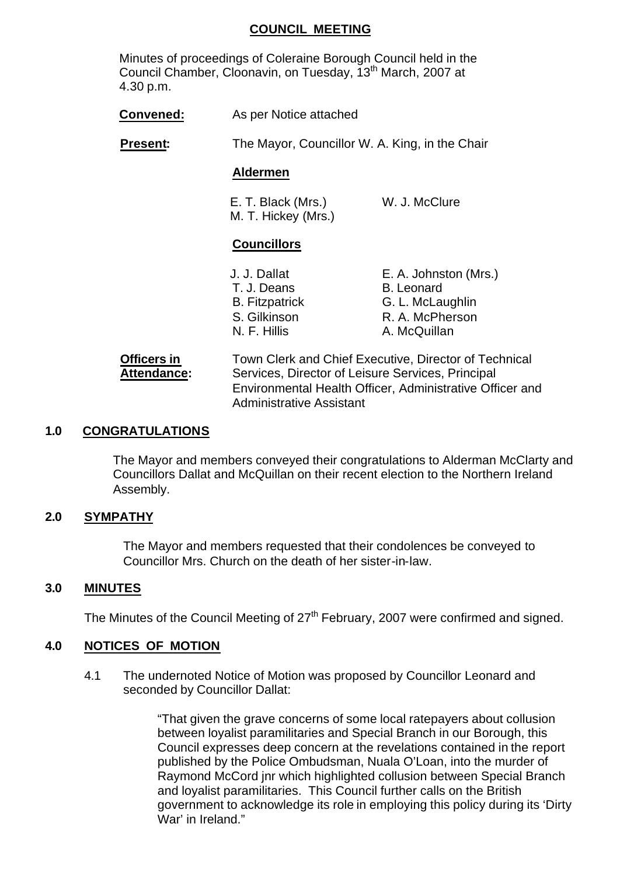#### **COUNCIL MEETING**

Minutes of proceedings of Coleraine Borough Council held in the Council Chamber, Cloonavin, on Tuesday, 13<sup>th</sup> March, 2007 at 4.30 p.m.

|  | Convened: | As per Notice attached |
|--|-----------|------------------------|
|--|-----------|------------------------|

**Present:** The Mayor, Councillor W. A. King, in the Chair

#### **Aldermen**

E. T. Black (Mrs.) W. J. McClure M. T. Hickey (Mrs.)

#### **Councillors**

| J. J. Dallat          | E. A. Johnston (Mrs.) |
|-----------------------|-----------------------|
| T. J. Deans           | <b>B.</b> Leonard     |
| <b>B.</b> Fitzpatrick | G. L. McLaughlin      |
| S. Gilkinson          | R. A. McPherson       |
| N. F. Hillis          | A. McQuillan          |

**Officers in** Town Clerk and Chief Executive, Director of Technical Attendance: Services, Director of Leisure Services, Principal Environmental Health Officer, Administrative Officer and Administrative Assistant

#### **1.0 CONGRATULATIONS**

The Mayor and members conveyed their congratulations to Alderman McClarty and Councillors Dallat and McQuillan on their recent election to the Northern Ireland Assembly.

#### **2.0 SYMPATHY**

The Mayor and members requested that their condolences be conveyed to Councillor Mrs. Church on the death of her sister-in-law.

#### **3.0 MINUTES**

The Minutes of the Council Meeting of 27<sup>th</sup> February, 2007 were confirmed and signed.

#### **4.0 NOTICES OF MOTION**

4.1 The undernoted Notice of Motion was proposed by Councillor Leonard and seconded by Councillor Dallat:

> "That given the grave concerns of some local ratepayers about collusion between loyalist paramilitaries and Special Branch in our Borough, this Council expresses deep concern at the revelations contained in the report published by the Police Ombudsman, Nuala O'Loan, into the murder of Raymond McCord jnr which highlighted collusion between Special Branch and loyalist paramilitaries. This Council further calls on the British government to acknowledge its role in employing this policy during its 'Dirty War' in Ireland."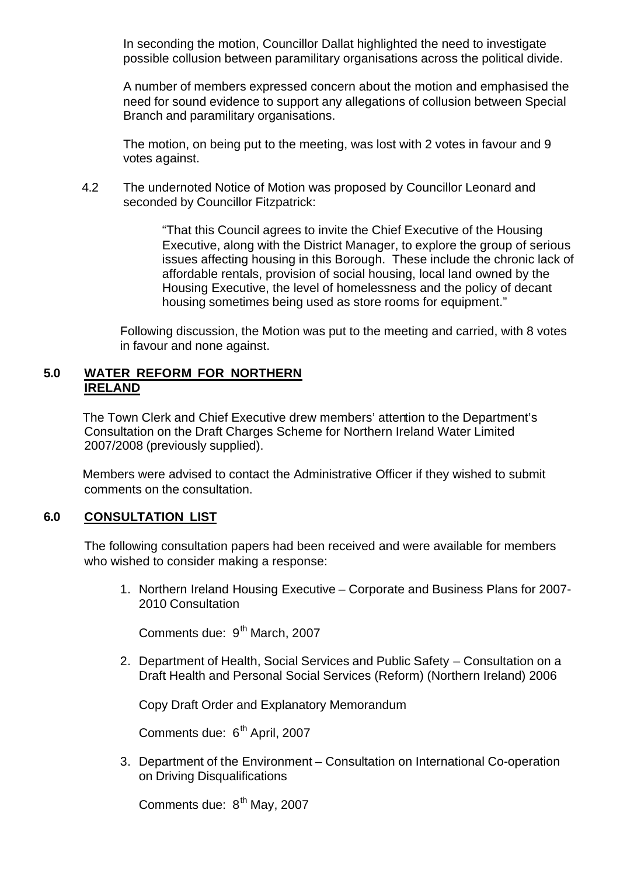In seconding the motion, Councillor Dallat highlighted the need to investigate possible collusion between paramilitary organisations across the political divide.

A number of members expressed concern about the motion and emphasised the need for sound evidence to support any allegations of collusion between Special Branch and paramilitary organisations.

The motion, on being put to the meeting, was lost with 2 votes in favour and 9 votes against.

4.2 The undernoted Notice of Motion was proposed by Councillor Leonard and seconded by Councillor Fitzpatrick:

> "That this Council agrees to invite the Chief Executive of the Housing Executive, along with the District Manager, to explore the group of serious issues affecting housing in this Borough. These include the chronic lack of affordable rentals, provision of social housing, local land owned by the Housing Executive, the level of homelessness and the policy of decant housing sometimes being used as store rooms for equipment."

Following discussion, the Motion was put to the meeting and carried, with 8 votes in favour and none against.

#### **5.0 WATER REFORM FOR NORTHERN IRELAND**

The Town Clerk and Chief Executive drew members' attention to the Department's Consultation on the Draft Charges Scheme for Northern Ireland Water Limited 2007/2008 (previously supplied).

Members were advised to contact the Administrative Officer if they wished to submit comments on the consultation.

# **6.0 CONSULTATION LIST**

The following consultation papers had been received and were available for members who wished to consider making a response:

1. Northern Ireland Housing Executive – Corporate and Business Plans for 2007- 2010 Consultation

Comments due: 9<sup>th</sup> March, 2007

2. Department of Health, Social Services and Public Safety – Consultation on a Draft Health and Personal Social Services (Reform) (Northern Ireland) 2006

Copy Draft Order and Explanatory Memorandum

Comments due: 6<sup>th</sup> April, 2007

3. Department of the Environment – Consultation on International Co-operation on Driving Disqualifications

Comments due: 8<sup>th</sup> May, 2007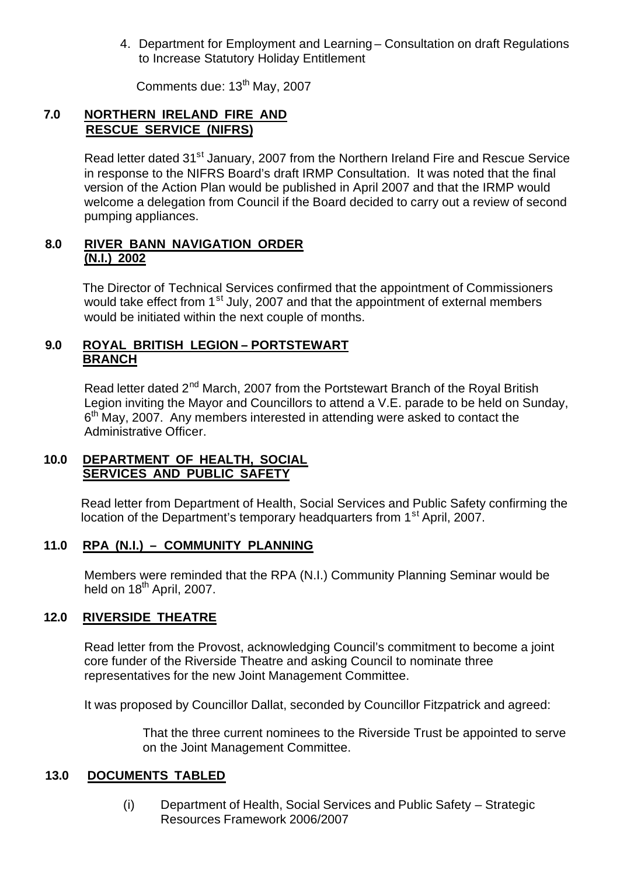4. Department for Employment and Learning – Consultation on draft Regulations to Increase Statutory Holiday Entitlement

Comments due: 13th May, 2007

# **7.0 NORTHERN IRELAND FIRE AND RESCUE SERVICE (NIFRS)**

Read letter dated 31<sup>st</sup> January, 2007 from the Northern Ireland Fire and Rescue Service in response to the NIFRS Board's draft IRMP Consultation. It was noted that the final version of the Action Plan would be published in April 2007 and that the IRMP would welcome a delegation from Council if the Board decided to carry out a review of second pumping appliances.

#### **8.0 RIVER BANN NAVIGATION ORDER (N.I.) 2002**

The Director of Technical Services confirmed that the appointment of Commissioners would take effect from 1<sup>st</sup> July, 2007 and that the appointment of external members would be initiated within the next couple of months.

### **9.0 ROYAL BRITISH LEGION – PORTSTEWART BRANCH**

Read letter dated 2<sup>nd</sup> March, 2007 from the Portstewart Branch of the Royal British Legion inviting the Mayor and Councillors to attend a V.E. parade to be held on Sunday,  $6<sup>th</sup>$  May, 2007. Any members interested in attending were asked to contact the Administrative Officer.

#### **10.0 DEPARTMENT OF HEALTH, SOCIAL SERVICES AND PUBLIC SAFETY**

Read letter from Department of Health, Social Services and Public Safety confirming the location of the Department's temporary headquarters from 1<sup>st</sup> April, 2007.

#### **11.0 RPA (N.I.) – COMMUNITY PLANNING**

Members were reminded that the RPA (N.I.) Community Planning Seminar would be held on 18<sup>th</sup> April, 2007.

#### **12.0 RIVERSIDE THEATRE**

Read letter from the Provost, acknowledging Council's commitment to become a joint core funder of the Riverside Theatre and asking Council to nominate three representatives for the new Joint Management Committee.

It was proposed by Councillor Dallat, seconded by Councillor Fitzpatrick and agreed:

That the three current nominees to the Riverside Trust be appointed to serve on the Joint Management Committee.

# **13.0 DOCUMENTS TABLED**

(i) Department of Health, Social Services and Public Safety – Strategic Resources Framework 2006/2007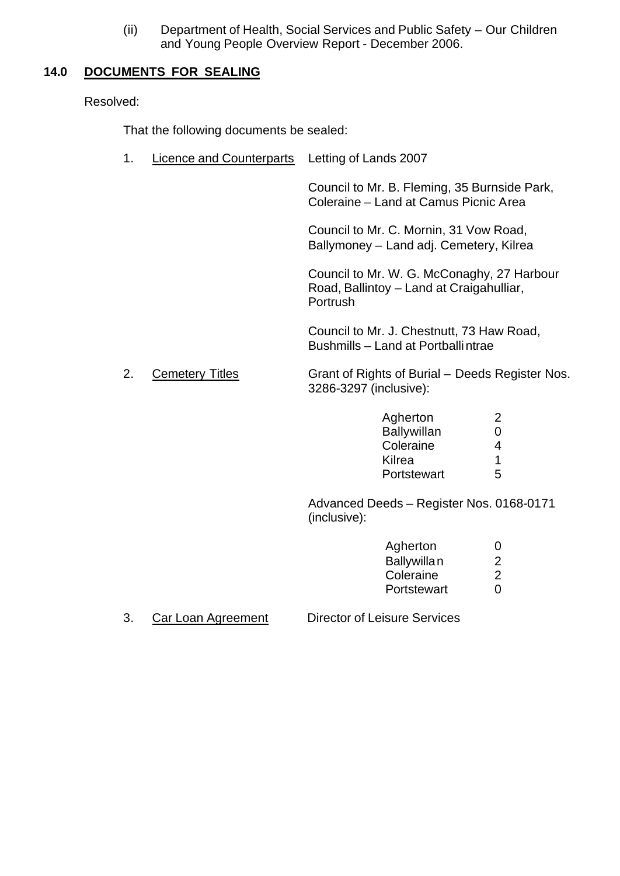(ii) Department of Health, Social Services and Public Safety – Our Children and Young People Overview Report - December 2006.

#### **14.0 DOCUMENTS FOR SEALING**

Resolved:

That the following documents be sealed:

1. Licence and Counterparts Letting of Lands 2007

Council to Mr. B. Fleming, 35 Burnside Park, Coleraine – Land at Camus Picnic Area

Council to Mr. C. Mornin, 31 Vow Road, Ballymoney – Land adj. Cemetery, Kilrea

Council to Mr. W. G. McConaghy, 27 Harbour Road, Ballintoy – Land at Craigahulliar, **Portrush** 

Council to Mr. J. Chestnutt, 73 Haw Road, Bushmills – Land at Portballintrae

#### 2. Cemetery Titles Grant of Rights of Burial – Deeds Register Nos. 3286-3297 (inclusive):

| Agherton           | ン |
|--------------------|---|
| <b>Ballywillan</b> | 0 |
| Coleraine          | 4 |
| Kilrea             | 1 |
| Portstewart        | 5 |

Advanced Deeds – Register Nos. 0168-0171 (inclusive):

| Agherton           | $\mathbf{0}$ |
|--------------------|--------------|
| <b>Ballywillan</b> | 2            |
| Coleraine          | 2            |
| Portstewart        | O            |

3. Car Loan Agreement Director of Leisure Services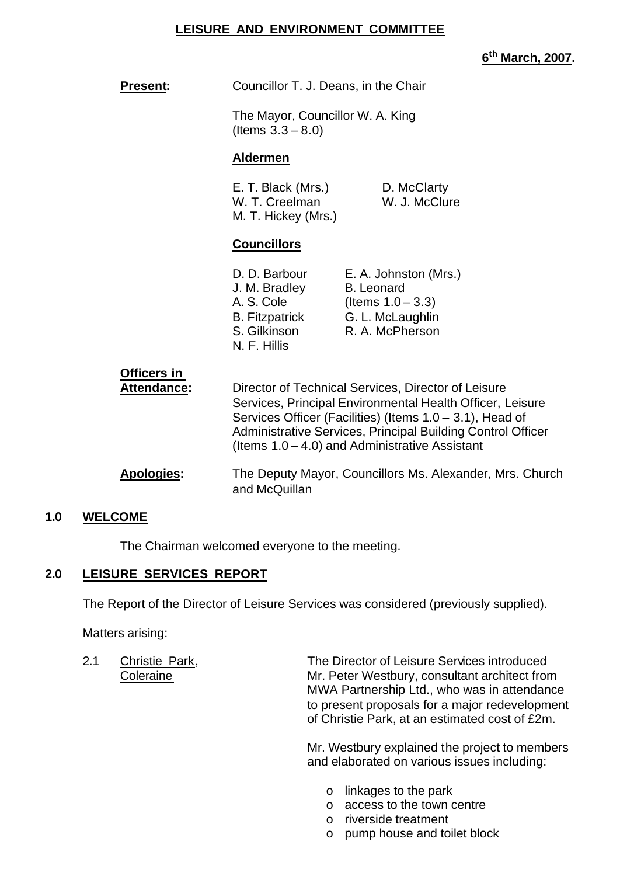#### **LEISURE AND ENVIRONMENT COMMITTEE**

**6 th March, 2007.**

| <b>Present:</b>                    | Councillor T. J. Deans, in the Chair                                                                                                                                                                                                                                                             |                                                                                                           |
|------------------------------------|--------------------------------------------------------------------------------------------------------------------------------------------------------------------------------------------------------------------------------------------------------------------------------------------------|-----------------------------------------------------------------------------------------------------------|
|                                    | The Mayor, Councillor W. A. King<br>(Items $3.3 - 8.0$ )                                                                                                                                                                                                                                         |                                                                                                           |
|                                    | <b>Aldermen</b>                                                                                                                                                                                                                                                                                  |                                                                                                           |
|                                    | E. T. Black (Mrs.)<br>W. T. Creelman<br>M. T. Hickey (Mrs.)                                                                                                                                                                                                                                      | D. McClarty<br>W. J. McClure                                                                              |
|                                    | <b>Councillors</b>                                                                                                                                                                                                                                                                               |                                                                                                           |
|                                    | D. D. Barbour<br>J. M. Bradley<br>A. S. Cole<br><b>B.</b> Fitzpatrick<br>S. Gilkinson<br>N. F. Hillis                                                                                                                                                                                            | E. A. Johnston (Mrs.)<br><b>B.</b> Leonard<br>(Items $1.0 - 3.3$ )<br>G. L. McLaughlin<br>R. A. McPherson |
| <u> Officers in</u><br>Attendance: | Director of Technical Services, Director of Leisure<br>Services, Principal Environmental Health Officer, Leisure<br>Services Officer (Facilities) (Items 1.0 – 3.1), Head of<br>Administrative Services, Principal Building Control Officer<br>(Items $1.0 - 4.0$ ) and Administrative Assistant |                                                                                                           |
| <b>Apologies:</b>                  | and McQuillan                                                                                                                                                                                                                                                                                    | The Deputy Mayor, Councillors Ms. Alexander, Mrs. Church                                                  |

#### **1.0 WELCOME**

The Chairman welcomed everyone to the meeting.

# **2.0 LEISURE SERVICES REPORT**

The Report of the Director of Leisure Services was considered (previously supplied).

Matters arising:

2.1 Christie Park, The Director of Leisure Services introduced Coleraine **Mr. Peter Westbury, consultant architect from** MWA Partnership Ltd., who was in attendance to present proposals for a major redevelopment of Christie Park, at an estimated cost of £2m.

> Mr. Westbury explained the project to members and elaborated on various issues including:

- o linkages to the park
- o access to the town centre
- o riverside treatment
- o pump house and toilet block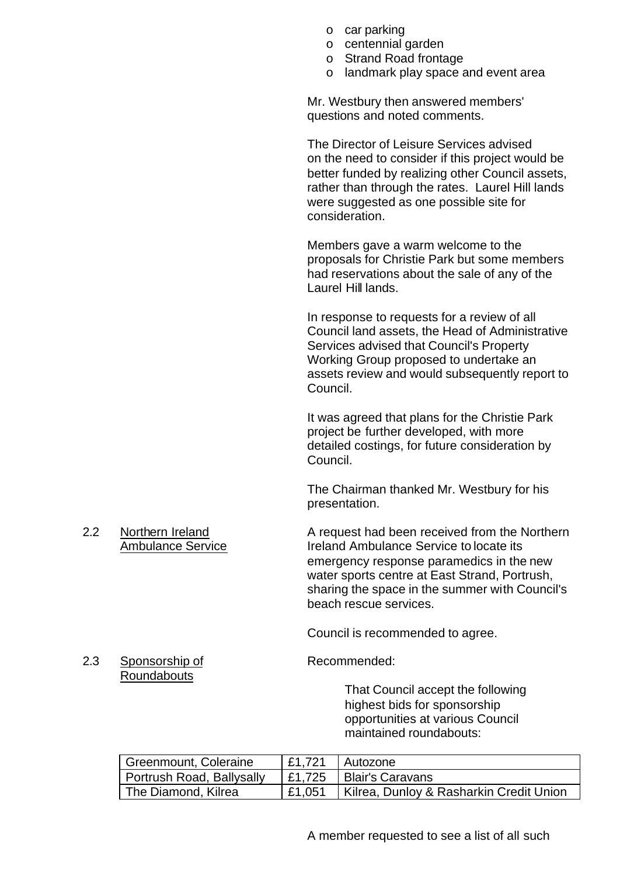- o car parking
- o centennial garden
- o Strand Road frontage
- o landmark play space and event area

Mr. Westbury then answered members' questions and noted comments.

The Director of Leisure Services advised on the need to consider if this project would be better funded by realizing other Council assets, rather than through the rates. Laurel Hill lands were suggested as one possible site for consideration.

Members gave a warm welcome to the proposals for Christie Park but some members had reservations about the sale of any of the Laurel Hill lands.

In response to requests for a review of all Council land assets, the Head of Administrative Services advised that Council's Property Working Group proposed to undertake an assets review and would subsequently report to Council.

It was agreed that plans for the Christie Park project be further developed, with more detailed costings, for future consideration by Council.

The Chairman thanked Mr. Westbury for his presentation.

2.2 Northern Ireland **A** request had been received from the Northern Ambulance Service **Ireland Ambulance Service to locate its** emergency response paramedics in the new water sports centre at East Strand, Portrush, sharing the space in the summer with Council's beach rescue services.

Council is recommended to agree.

2.3 Sponsorship of Recommended:

That Council accept the following highest bids for sponsorship opportunities at various Council maintained roundabouts:

| Greenmount, Coleraine     | E1,721 | I Autozone                              |
|---------------------------|--------|-----------------------------------------|
| Portrush Road, Ballysally |        | E1,725 Blair's Caravans                 |
| The Diamond, Kilrea       | £1,051 | Kilrea, Dunloy & Rasharkin Credit Union |

Roundabouts

A member requested to see a list of all such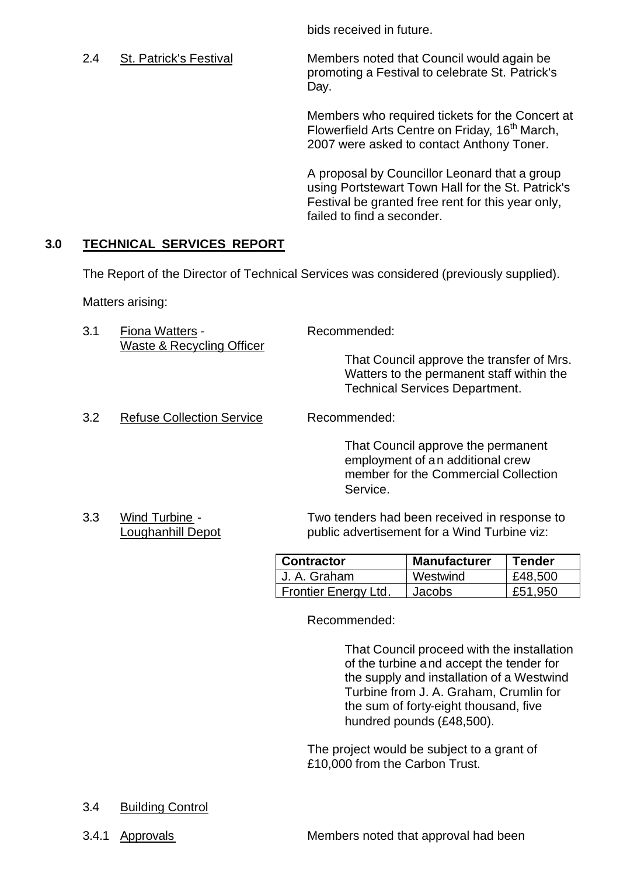bids received in future.

2.4 St. Patrick's Festival Members noted that Council would again be promoting a Festival to celebrate St. Patrick's Day.

> Members who required tickets for the Concert at Flowerfield Arts Centre on Friday, 16<sup>th</sup> March, 2007 were asked to contact Anthony Toner.

A proposal by Councillor Leonard that a group using Portstewart Town Hall for the St. Patrick's Festival be granted free rent for this year only, failed to find a seconder.

# **3.0 TECHNICAL SERVICES REPORT**

The Report of the Director of Technical Services was considered (previously supplied).

Matters arising:

3.1 Fiona Watters - Recommended: Waste & Recycling Officer

That Council approve the transfer of Mrs. Watters to the permanent staff within the Technical Services Department.

3.2 Refuse Collection Service Recommended:

That Council approve the permanent employment of an additional crew member for the Commercial Collection Service.

3.3 Wind Turbine - Two tenders had been received in response to Loughanhill Depot public advertisement for a Wind Turbine viz:

| <b>Contractor</b>    | <b>Manufacturer</b> | Tender  |
|----------------------|---------------------|---------|
| U. A. Graham         | Westwind            | £48,500 |
| Frontier Energy Ltd. | Jacobs.             | £51.950 |

Recommended:

That Council proceed with the installation of the turbine and accept the tender for the supply and installation of a Westwind Turbine from J. A. Graham, Crumlin for the sum of forty-eight thousand, five hundred pounds (£48,500).

The project would be subject to a grant of £10,000 from the Carbon Trust.

- 3.4 Building Control
- 

3.4.1 Approvals Members noted that approval had been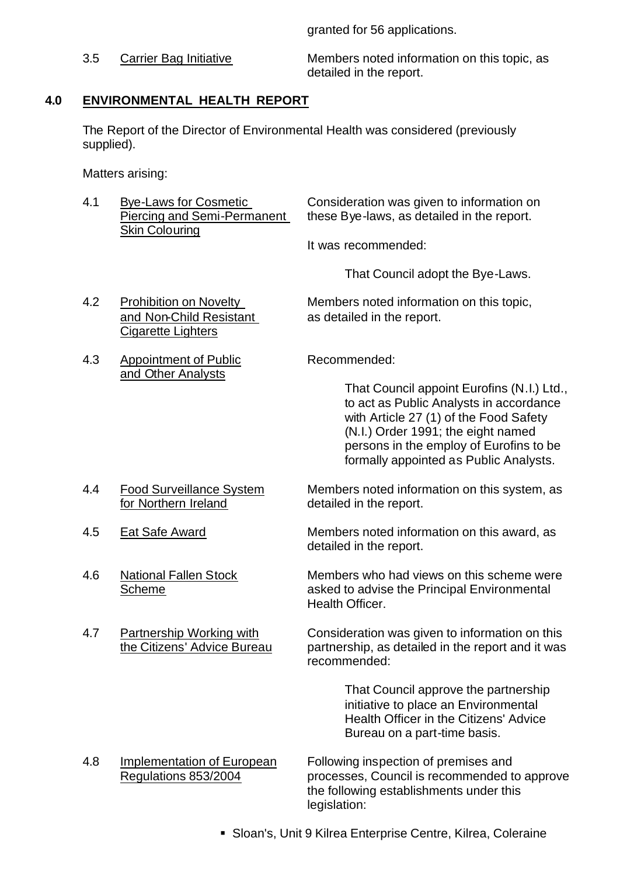granted for 56 applications.

3.5 Carrier Bag Initiative Members noted information on this topic, as detailed in the report.

# **4.0 ENVIRONMENTAL HEALTH REPORT**

The Report of the Director of Environmental Health was considered (previously supplied).

Matters arising:

| 4.1 | <b>Bye-Laws for Cosmetic</b><br><b>Piercing and Semi-Permanent</b><br><b>Skin Colouring</b> | Consideration was given to information on<br>these Bye-laws, as detailed in the report.                                                                                                                                                                    |
|-----|---------------------------------------------------------------------------------------------|------------------------------------------------------------------------------------------------------------------------------------------------------------------------------------------------------------------------------------------------------------|
|     |                                                                                             | It was recommended:                                                                                                                                                                                                                                        |
|     |                                                                                             | That Council adopt the Bye-Laws.                                                                                                                                                                                                                           |
| 4.2 | <b>Prohibition on Novelty</b><br>and Non-Child Resistant<br><b>Cigarette Lighters</b>       | Members noted information on this topic,<br>as detailed in the report.                                                                                                                                                                                     |
| 4.3 | <b>Appointment of Public</b><br>and Other Analysts                                          | Recommended:                                                                                                                                                                                                                                               |
|     |                                                                                             | That Council appoint Eurofins (N.I.) Ltd.,<br>to act as Public Analysts in accordance<br>with Article 27 (1) of the Food Safety<br>(N.I.) Order 1991; the eight named<br>persons in the employ of Eurofins to be<br>formally appointed as Public Analysts. |
| 4.4 | <b>Food Surveillance System</b><br>for Northern Ireland                                     | Members noted information on this system, as<br>detailed in the report.                                                                                                                                                                                    |
| 4.5 | Eat Safe Award                                                                              | Members noted information on this award, as<br>detailed in the report.                                                                                                                                                                                     |
| 4.6 | <b>National Fallen Stock</b><br><b>Scheme</b>                                               | Members who had views on this scheme were<br>asked to advise the Principal Environmental<br>Health Officer.                                                                                                                                                |
| 4.7 | <b>Partnership Working with</b><br>the Citizens' Advice Bureau                              | Consideration was given to information on this<br>partnership, as detailed in the report and it was<br>recommended:                                                                                                                                        |
|     |                                                                                             | That Council approve the partnership<br>initiative to place an Environmental<br><b>Health Officer in the Citizens' Advice</b><br>Bureau on a part-time basis.                                                                                              |
| 4.8 | <b>Implementation of European</b><br>Regulations 853/2004                                   | Following inspection of premises and<br>processes, Council is recommended to approve<br>the following establishments under this<br>legislation:                                                                                                            |

ß Sloan's, Unit 9 Kilrea Enterprise Centre, Kilrea, Coleraine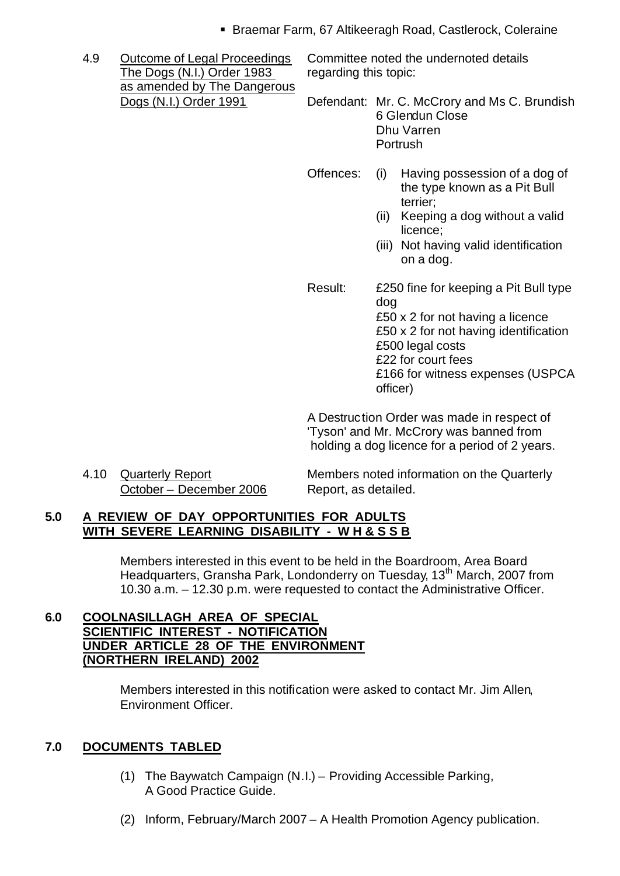- **Braemar Farm, 67 Altikeeragh Road, Castlerock, Coleraine**
- The Dogs (N.I.) Order 1983 regarding this topic: as amended by The Dangerous

4.9 Outcome of Legal Proceedings Committee noted the undernoted details

Dogs (N.I.) Order 1991 Defendant: Mr. C. McCrory and Ms C. Brundish 6 Glendun Close Dhu Varren Portrush

- Offences: (i) Having possession of a dog of the type known as a Pit Bull terrier;
	- (ii) Keeping a dog without a valid licence;
	- (iii) Not having valid identification on a dog.
- Result: £250 fine for keeping a Pit Bull type dog £50 x 2 for not having a licence £50 x 2 for not having identification £500 legal costs £22 for court fees £166 for witness expenses (USPCA officer)

A Destruction Order was made in respect of 'Tyson' and Mr. McCrory was banned from holding a dog licence for a period of 2 years.

October – December 2006 Report, as detailed.

4.10 Quarterly Report Members noted information on the Quarterly

# **5.0 A REVIEW OF DAY OPPORTUNITIES FOR ADULTS WITH SEVERE LEARNING DISABILITY - W H & S S B**

Members interested in this event to be held in the Boardroom, Area Board Headquarters, Gransha Park, Londonderry on Tuesday, 13<sup>th</sup> March, 2007 from 10.30 a.m. – 12.30 p.m. were requested to contact the Administrative Officer.

#### **6.0 COOLNASILLAGH AREA OF SPECIAL SCIENTIFIC INTEREST - NOTIFICATION UNDER ARTICLE 28 OF THE ENVIRONMENT (NORTHERN IRELAND) 2002**

Members interested in this notification were asked to contact Mr. Jim Allen, Environment Officer.

# **7.0 DOCUMENTS TABLED**

- (1) The Baywatch Campaign (N.I.) Providing Accessible Parking, A Good Practice Guide.
- (2) Inform, February/March 2007 A Health Promotion Agency publication.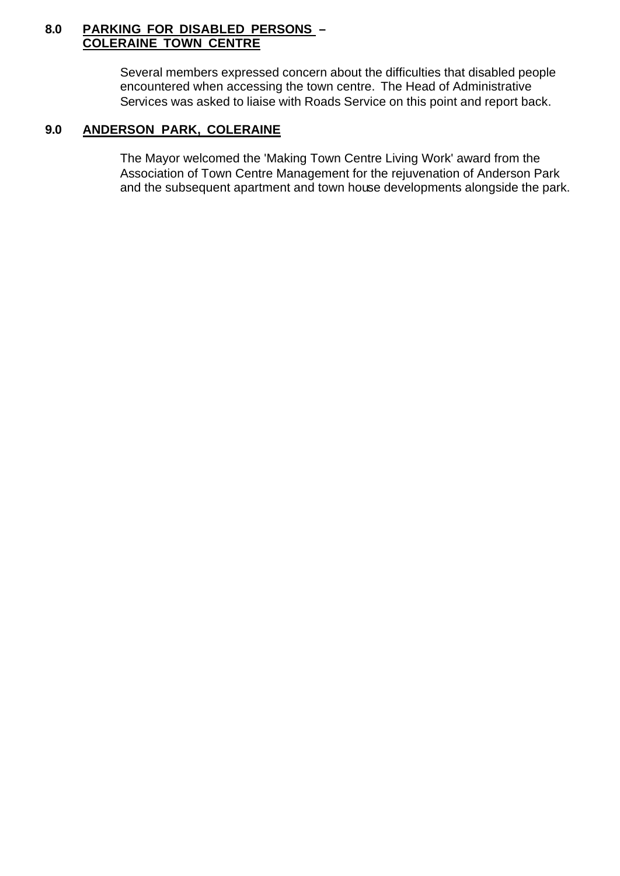#### **8.0 PARKING FOR DISABLED PERSONS – COLERAINE TOWN CENTRE**

Several members expressed concern about the difficulties that disabled people encountered when accessing the town centre. The Head of Administrative Services was asked to liaise with Roads Service on this point and report back.

# **9.0 ANDERSON PARK, COLERAINE**

The Mayor welcomed the 'Making Town Centre Living Work' award from the Association of Town Centre Management for the rejuvenation of Anderson Park and the subsequent apartment and town house developments alongside the park.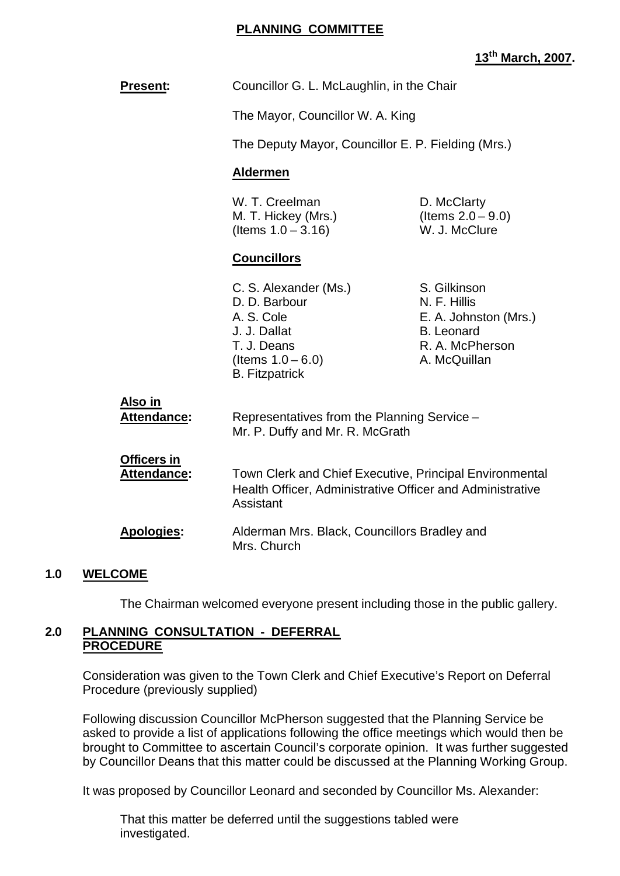#### **PLANNING COMMITTEE**

# **13th March, 2007.**

| <b>Present:</b>                          |                                                                                                                                      | Councillor G. L. McLaughlin, in the Chair                                                                     |  |
|------------------------------------------|--------------------------------------------------------------------------------------------------------------------------------------|---------------------------------------------------------------------------------------------------------------|--|
|                                          | The Mayor, Councillor W. A. King                                                                                                     |                                                                                                               |  |
|                                          |                                                                                                                                      | The Deputy Mayor, Councillor E. P. Fielding (Mrs.)                                                            |  |
|                                          | <b>Aldermen</b>                                                                                                                      |                                                                                                               |  |
|                                          | W. T. Creelman<br>M. T. Hickey (Mrs.)<br>(Items $1.0 - 3.16$ )                                                                       | D. McClarty<br>(Items $2.0 - 9.0$ )<br>W. J. McClure                                                          |  |
|                                          | <b>Councillors</b>                                                                                                                   |                                                                                                               |  |
|                                          | C. S. Alexander (Ms.)<br>D. D. Barbour<br>A. S. Cole<br>J. J. Dallat<br>T. J. Deans<br>(Items $1.0 - 6.0$ )<br><b>B.</b> Fitzpatrick | S. Gilkinson<br>N. F. Hillis<br>E. A. Johnston (Mrs.)<br><b>B.</b> Leonard<br>R. A. McPherson<br>A. McQuillan |  |
| <u>Also in</u><br><b>Attendance:</b>     | Representatives from the Planning Service -<br>Mr. P. Duffy and Mr. R. McGrath                                                       |                                                                                                               |  |
| <b>Officers in</b><br><b>Attendance:</b> | Town Clerk and Chief Executive, Principal Environmental<br>Health Officer, Administrative Officer and Administrative<br>Assistant    |                                                                                                               |  |
| <b>Apologies:</b>                        | Alderman Mrs. Black, Councillors Bradley and<br>Mrs. Church                                                                          |                                                                                                               |  |

#### **1.0 WELCOME**

The Chairman welcomed everyone present including those in the public gallery.

#### **2.0 PLANNING CONSULTATION - DEFERRAL PROCEDURE**

Consideration was given to the Town Clerk and Chief Executive's Report on Deferral Procedure (previously supplied)

Following discussion Councillor McPherson suggested that the Planning Service be asked to provide a list of applications following the office meetings which would then be brought to Committee to ascertain Council's corporate opinion. It was further suggested by Councillor Deans that this matter could be discussed at the Planning Working Group.

It was proposed by Councillor Leonard and seconded by Councillor Ms. Alexander:

That this matter be deferred until the suggestions tabled were investigated.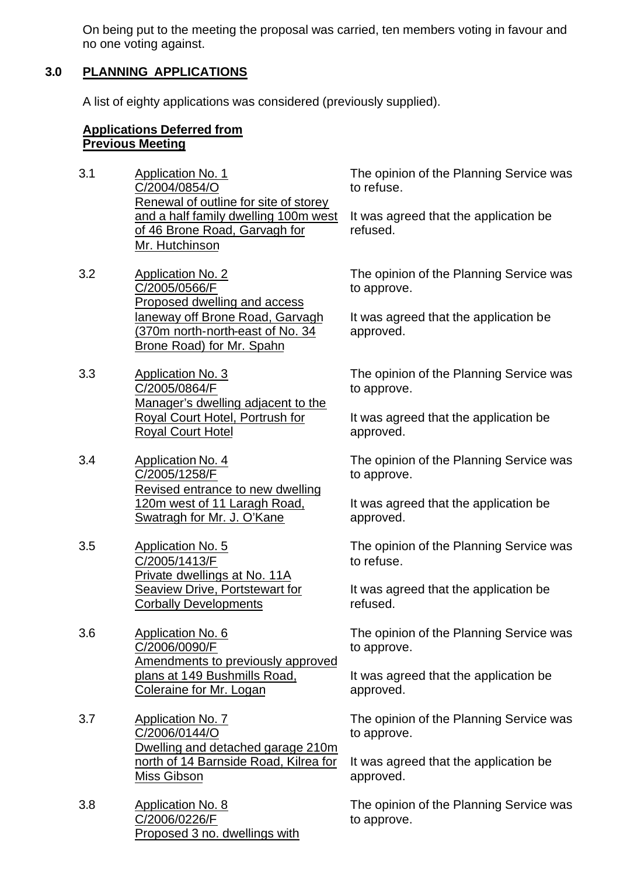On being put to the meeting the proposal was carried, ten members voting in favour and no one voting against.

### **3.0 PLANNING APPLICATIONS**

A list of eighty applications was considered (previously supplied).

#### **Applications Deferred from Previous Meeting**

- 3.1 Application No. 1 C/2004/0854/O Renewal of outline for site of storey and a half family dwelling 100m west of 46 Brone Road, Garvagh for Mr. Hutchinson
- 3.2 Application No. 2 C/2005/0566/F Proposed dwelling and access laneway off Brone Road, Garvagh (370m north-north-east of No. 34 Brone Road) for Mr. Spahn
- 3.3 Application No. 3 C/2005/0864/F Manager's dwelling adjacent to the Royal Court Hotel, Portrush for Royal Court Hotel
- 3.4 Application No. 4 C/2005/1258/F Revised entrance to new dwelling 120m west of 11 Laragh Road, Swatragh for Mr. J. O'Kane
- 3.5 Application No. 5 C/2005/1413/F Private dwellings at No. 11A Seaview Drive, Portstewart for Corbally Developments
- 3.6 Application No. 6 C/2006/0090/F Amendments to previously approved plans at 149 Bushmills Road, Coleraine for Mr. Logan
- 3.7 Application No. 7 C/2006/0144/O Dwelling and detached garage 210m north of 14 Barnside Road, Kilrea for Miss Gibson
- 3.8 Application No. 8 C/2006/0226/F Proposed 3 no. dwellings with

The opinion of the Planning Service was to refuse.

It was agreed that the application be refused.

The opinion of the Planning Service was to approve.

It was agreed that the application be approved.

The opinion of the Planning Service was to approve.

It was agreed that the application be approved.

The opinion of the Planning Service was to approve.

It was agreed that the application be approved.

The opinion of the Planning Service was to refuse.

It was agreed that the application be refused.

The opinion of the Planning Service was to approve.

It was agreed that the application be approved.

The opinion of the Planning Service was to approve.

It was agreed that the application be approved.

The opinion of the Planning Service was to approve.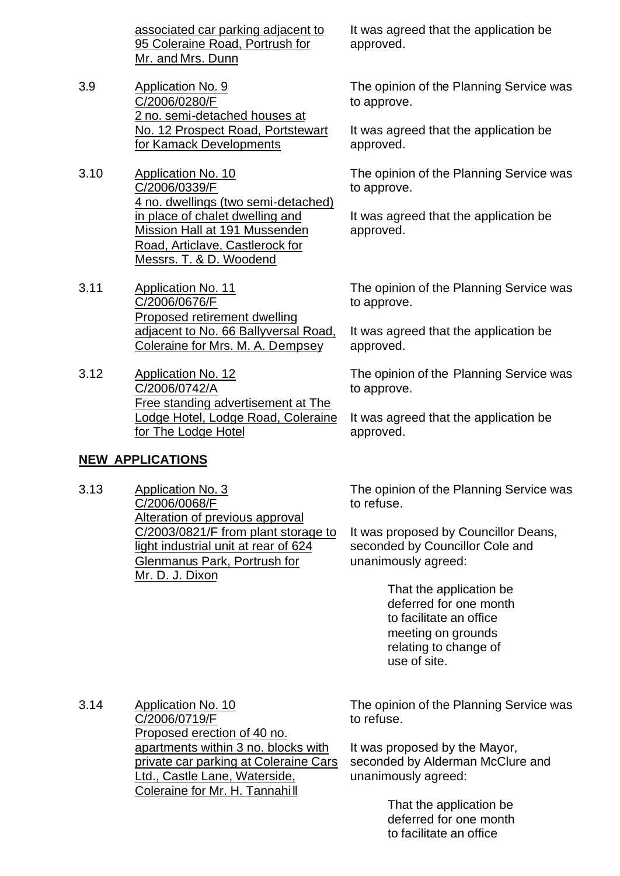associated car parking adjacent to 95 Coleraine Road, Portrush for Mr. and Mrs. Dunn

- 3.9 Application No. 9 C/2006/0280/F 2 no. semi-detached houses at No. 12 Prospect Road, Portstewart for Kamack Developments
- 3.10 Application No. 10 C/2006/0339/F 4 no. dwellings (two semi-detached) in place of chalet dwelling and Mission Hall at 191 Mussenden Road, Articlave, Castlerock for Messrs. T. & D. Woodend
- 3.11 Application No. 11 C/2006/0676/F Proposed retirement dwelling adjacent to No. 66 Ballyversal Road, Coleraine for Mrs. M. A. Dempsey
- 3.12 Application No. 12 C/2006/0742/A Free standing advertisement at The Lodge Hotel, Lodge Road, Coleraine for The Lodge Hotel

# **NEW APPLICATIONS**

3.13 Application No. 3 C/2006/0068/F Alteration of previous approval C/2003/0821/F from plant storage to light industrial unit at rear of 624 Glenmanus Park, Portrush for Mr. D. J. Dixon

It was agreed that the application be approved.

The opinion of the Planning Service was to approve.

It was agreed that the application be approved.

The opinion of the Planning Service was to approve.

It was agreed that the application be approved.

The opinion of the Planning Service was to approve.

It was agreed that the application be approved.

The opinion of the Planning Service was to approve.

It was agreed that the application be approved.

The opinion of the Planning Service was to refuse.

It was proposed by Councillor Deans, seconded by Councillor Cole and unanimously agreed:

> That the application be deferred for one month to facilitate an office meeting on grounds relating to change of use of site.

3.14 Application No. 10 C/2006/0719/F Proposed erection of 40 no. apartments within 3 no. blocks with private car parking at Coleraine Cars Ltd., Castle Lane, Waterside, Coleraine for Mr. H. Tannahi ll

The opinion of the Planning Service was to refuse.

It was proposed by the Mayor, seconded by Alderman McClure and unanimously agreed:

> That the application be deferred for one month to facilitate an office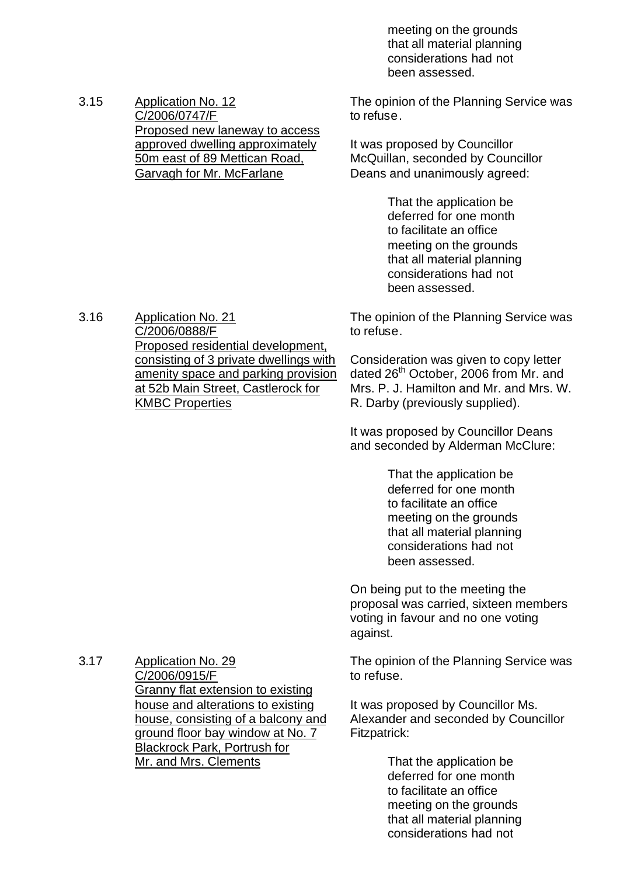meeting on the grounds that all material planning considerations had not been assessed.

3.15 Application No. 12 C/2006/0747/F Proposed new laneway to access approved dwelling approximately 50m east of 89 Mettican Road, Garvagh for Mr. McFarlane

The opinion of the Planning Service was to refuse.

It was proposed by Councillor McQuillan, seconded by Councillor Deans and unanimously agreed:

> That the application be deferred for one month to facilitate an office meeting on the grounds that all material planning considerations had not been assessed.

The opinion of the Planning Service was to refuse.

Consideration was given to copy letter dated 26<sup>th</sup> October, 2006 from Mr. and Mrs. P. J. Hamilton and Mr. and Mrs. W. R. Darby (previously supplied).

It was proposed by Councillor Deans and seconded by Alderman McClure:

> That the application be deferred for one month to facilitate an office meeting on the grounds that all material planning considerations had not been assessed.

On being put to the meeting the proposal was carried, sixteen members voting in favour and no one voting against.

The opinion of the Planning Service was to refuse.

It was proposed by Councillor Ms. Alexander and seconded by Councillor Fitzpatrick:

> That the application be deferred for one month to facilitate an office meeting on the grounds that all material planning considerations had not

3.16 Application No. 21 C/2006/0888/F Proposed residential development, consisting of 3 private dwellings with amenity space and parking provision at 52b Main Street, Castlerock for KMBC Properties

3.17 Application No. 29 C/2006/0915/F Granny flat extension to existing house and alterations to existing house, consisting of a balcony and ground floor bay window at No. 7 Blackrock Park, Portrush for Mr. and Mrs. Clements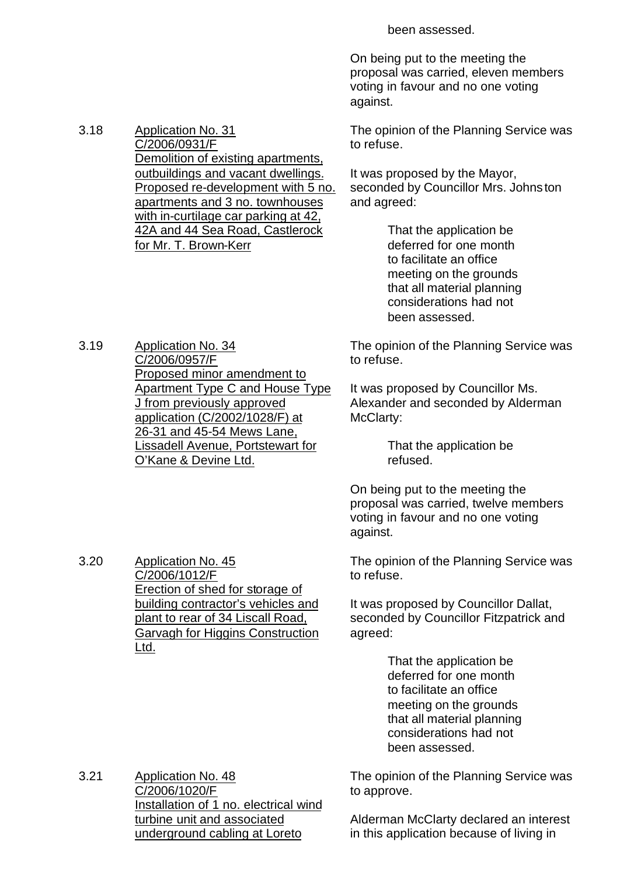been assessed.

On being put to the meeting the proposal was carried, eleven members voting in favour and no one voting against.

The opinion of the Planning Service was to refuse.

It was proposed by the Mayor, seconded by Councillor Mrs. Johnston and agreed:

> That the application be deferred for one month to facilitate an office meeting on the grounds that all material planning considerations had not been assessed.

The opinion of the Planning Service was to refuse.

It was proposed by Councillor Ms. Alexander and seconded by Alderman McClarty:

> That the application be refused.

On being put to the meeting the proposal was carried, twelve members voting in favour and no one voting against.

The opinion of the Planning Service was to refuse.

It was proposed by Councillor Dallat, seconded by Councillor Fitzpatrick and agreed:

> That the application be deferred for one month to facilitate an office meeting on the grounds that all material planning considerations had not been assessed.

3.21 Application No. 48 C/2006/1020/F Installation of 1 no. electrical wind turbine unit and associated underground cabling at Loreto

The opinion of the Planning Service was to approve.

Alderman McClarty declared an interest in this application because of living in

3.19 Application No. 34 C/2006/0957/F Proposed minor amendment to Apartment Type C and House Type J from previously approved application (C/2002/1028/F) at 26-31 and 45-54 Mews Lane, Lissadell Avenue, Portstewart for O'Kane & Devine Ltd.

3.20 Application No. 45

Ltd.

C/2006/1012/F

Erection of shed for storage of building contractor's vehicles and plant to rear of 34 Liscall Road, Garvagh for Higgins Construction

3.18 Application No. 31

C/2006/0931/F Demolition of existing apartments, outbuildings and vacant dwellings. Proposed re-development with 5 no. apartments and 3 no. townhouses with in-curtilage car parking at 42, 42A and 44 Sea Road, Castlerock for Mr. T. Brown-Kerr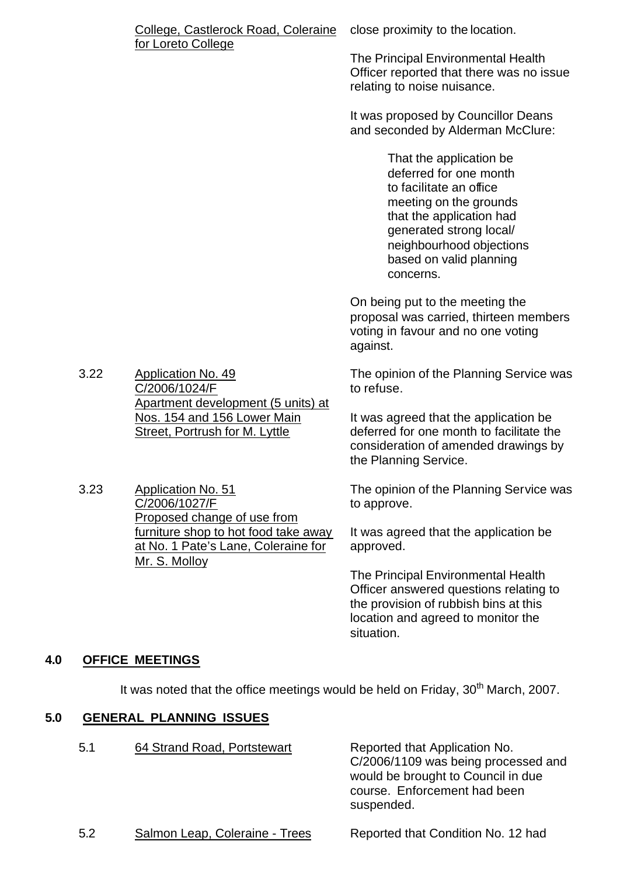| College, Castlerock Road, Coleraine close proximity to the location. |  |
|----------------------------------------------------------------------|--|
| for Loreto College                                                   |  |

The Principal Environmental Health Officer reported that there was no issue relating to noise nuisance.

It was proposed by Councillor Deans and seconded by Alderman McClure:

> That the application be deferred for one month to facilitate an office meeting on the grounds that the application had generated strong local/ neighbourhood objections based on valid planning concerns.

On being put to the meeting the proposal was carried, thirteen members voting in favour and no one voting against.

The opinion of the Planning Service was to refuse.

It was agreed that the application be deferred for one month to facilitate the consideration of amended drawings by the Planning Service.

The opinion of the Planning Service was to approve.

It was agreed that the application be approved.

The Principal Environmental Health Officer answered questions relating to the provision of rubbish bins at this location and agreed to monitor the situation.

# **4.0 OFFICE MEETINGS**

It was noted that the office meetings would be held on Friday,  $30<sup>th</sup>$  March, 2007.

# **5.0 GENERAL PLANNING ISSUES**

| 5.1 | 64 Strand Road, Portstewart | Reported that Application No.<br>C/2006/1109 was being processed and<br>would be brought to Council in due<br>course. Enforcement had been<br>suspended. |
|-----|-----------------------------|----------------------------------------------------------------------------------------------------------------------------------------------------------|
|     |                             |                                                                                                                                                          |

| 5.2 | Salmon Leap, Coleraine - Trees | Reported that Condition No. 12 had |  |
|-----|--------------------------------|------------------------------------|--|
|     |                                |                                    |  |

3.22 Application No. 49 C/2006/1024/F Apartment development (5 units) at Nos. 154 and 156 Lower Main Street, Portrush for M. Lyttle

3.23 Application No. 51 C/2006/1027/F Proposed change of use from furniture shop to hot food take away at No. 1 Pate's Lane, Coleraine for Mr. S. Molloy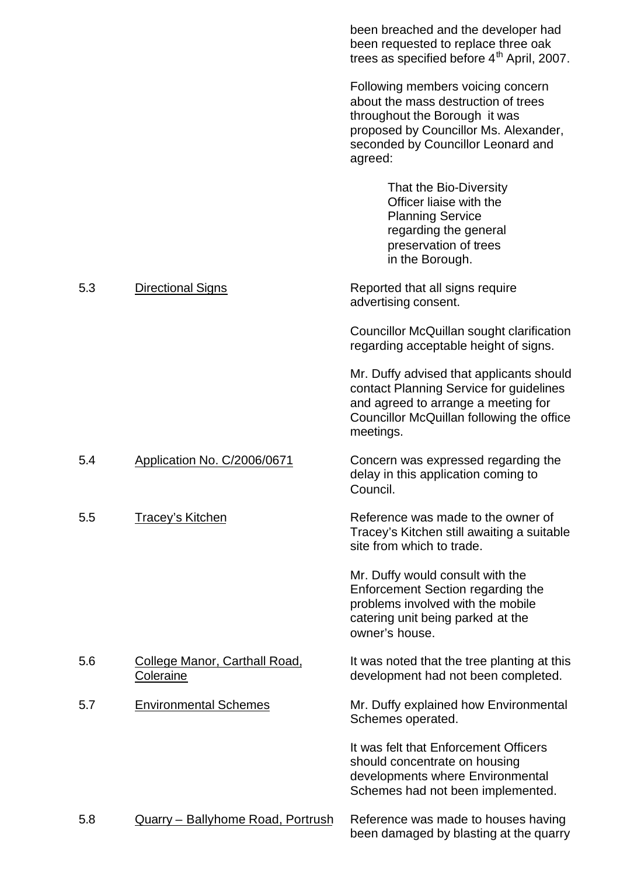|     |                                                   | been breached and the developer had<br>been requested to replace three oak<br>trees as specified before 4 <sup>th</sup> April, 2007.                                                                |
|-----|---------------------------------------------------|-----------------------------------------------------------------------------------------------------------------------------------------------------------------------------------------------------|
|     |                                                   | Following members voicing concern<br>about the mass destruction of trees<br>throughout the Borough it was<br>proposed by Councillor Ms. Alexander,<br>seconded by Councillor Leonard and<br>agreed: |
|     |                                                   | That the Bio-Diversity<br>Officer liaise with the<br><b>Planning Service</b><br>regarding the general<br>preservation of trees<br>in the Borough.                                                   |
| 5.3 | Directional Signs                                 | Reported that all signs require<br>advertising consent.                                                                                                                                             |
|     |                                                   | Councillor McQuillan sought clarification<br>regarding acceptable height of signs.                                                                                                                  |
|     |                                                   | Mr. Duffy advised that applicants should<br>contact Planning Service for guidelines<br>and agreed to arrange a meeting for<br>Councillor McQuillan following the office<br>meetings.                |
| 5.4 | Application No. C/2006/0671                       | Concern was expressed regarding the<br>delay in this application coming to<br>Council.                                                                                                              |
| 5.5 | <b>Tracey's Kitchen</b>                           | Reference was made to the owner of<br>Tracey's Kitchen still awaiting a suitable<br>site from which to trade.                                                                                       |
|     |                                                   | Mr. Duffy would consult with the<br>Enforcement Section regarding the<br>problems involved with the mobile<br>catering unit being parked at the<br>owner's house.                                   |
| 5.6 | <u>College Manor, Carthall Road,</u><br>Coleraine | It was noted that the tree planting at this<br>development had not been completed.                                                                                                                  |
| 5.7 | <b>Environmental Schemes</b>                      | Mr. Duffy explained how Environmental<br>Schemes operated.                                                                                                                                          |
|     |                                                   | It was felt that Enforcement Officers<br>should concentrate on housing<br>developments where Environmental<br>Schemes had not been implemented.                                                     |
| 5.8 | <u> Quarry – Ballyhome Road, Portrush</u>         | Reference was made to houses having<br>been damaged by blasting at the quarry                                                                                                                       |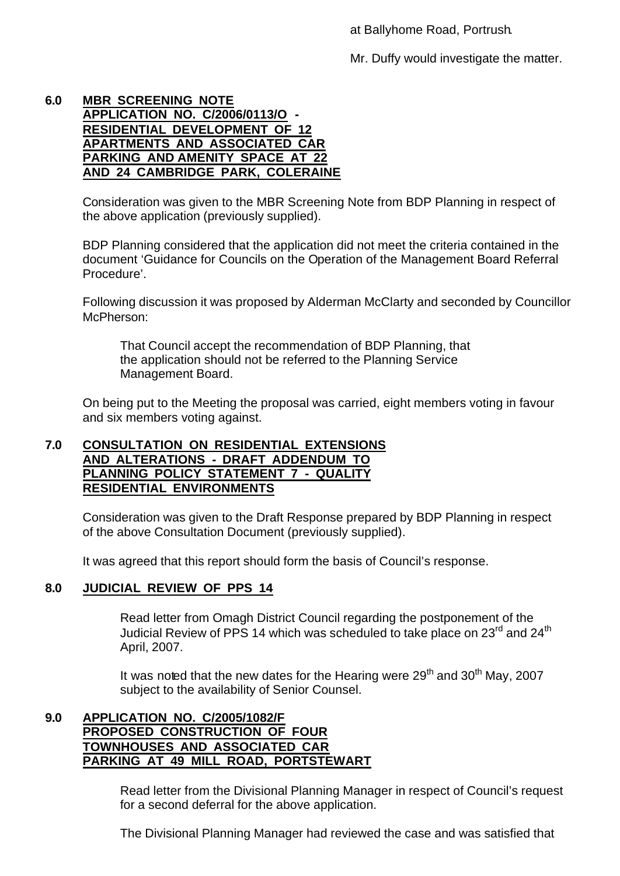at Ballyhome Road, Portrush.

Mr. Duffy would investigate the matter.

#### **6.0 MBR SCREENING NOTE APPLICATION NO. C/2006/0113/O - RESIDENTIAL DEVELOPMENT OF 12 APARTMENTS AND ASSOCIATED CAR PARKING AND AMENITY SPACE AT 22 AND 24 CAMBRIDGE PARK, COLERAINE**

Consideration was given to the MBR Screening Note from BDP Planning in respect of the above application (previously supplied).

BDP Planning considered that the application did not meet the criteria contained in the document 'Guidance for Councils on the Operation of the Management Board Referral Procedure'.

Following discussion it was proposed by Alderman McClarty and seconded by Councillor McPherson:

That Council accept the recommendation of BDP Planning, that the application should not be referred to the Planning Service Management Board.

On being put to the Meeting the proposal was carried, eight members voting in favour and six members voting against.

### **7.0 CONSULTATION ON RESIDENTIAL EXTENSIONS AND ALTERATIONS - DRAFT ADDENDUM TO PLANNING POLICY STATEMENT 7 - QUALITY RESIDENTIAL ENVIRONMENTS**

Consideration was given to the Draft Response prepared by BDP Planning in respect of the above Consultation Document (previously supplied).

It was agreed that this report should form the basis of Council's response.

# **8.0 JUDICIAL REVIEW OF PPS 14**

Read letter from Omagh District Council regarding the postponement of the Judicial Review of PPS 14 which was scheduled to take place on  $23^{\text{rd}}$  and  $24^{\text{th}}$ April, 2007.

It was noted that the new dates for the Hearing were  $29<sup>th</sup>$  and  $30<sup>th</sup>$  May, 2007 subject to the availability of Senior Counsel.

#### **9.0 APPLICATION NO. C/2005/1082/F PROPOSED CONSTRUCTION OF FOUR TOWNHOUSES AND ASSOCIATED CAR PARKING AT 49 MILL ROAD, PORTSTEWART**

Read letter from the Divisional Planning Manager in respect of Council's request for a second deferral for the above application.

The Divisional Planning Manager had reviewed the case and was satisfied that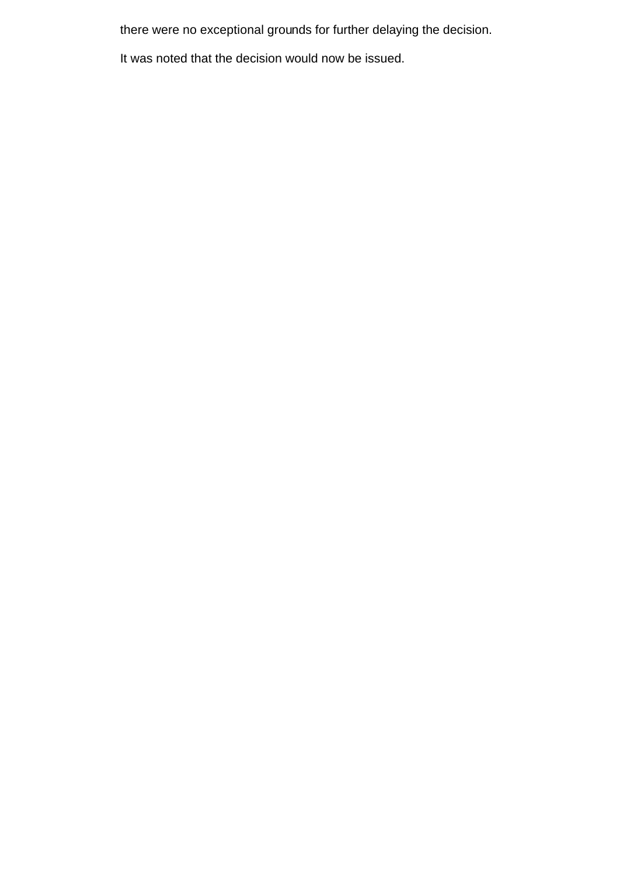there were no exceptional grounds for further delaying the decision.

It was noted that the decision would now be issued.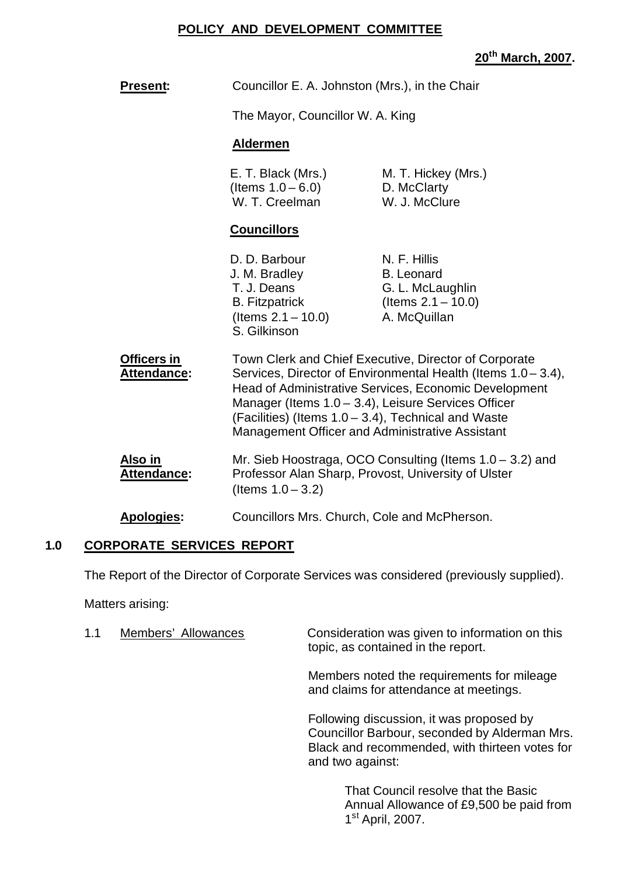### **POLICY AND DEVELOPMENT COMMITTEE**

# **20th March, 2007.**

| <b>Present:</b>                   | Councillor E. A. Johnston (Mrs.), in the Chair                                                                                                                                                                                                                                                                                                          |                                                                                                |  |
|-----------------------------------|---------------------------------------------------------------------------------------------------------------------------------------------------------------------------------------------------------------------------------------------------------------------------------------------------------------------------------------------------------|------------------------------------------------------------------------------------------------|--|
|                                   | The Mayor, Councillor W. A. King                                                                                                                                                                                                                                                                                                                        |                                                                                                |  |
|                                   | <b>Aldermen</b>                                                                                                                                                                                                                                                                                                                                         |                                                                                                |  |
|                                   | E. T. Black (Mrs.)<br>(Items $1.0 - 6.0$ )<br>W. T. Creelman                                                                                                                                                                                                                                                                                            | M. T. Hickey (Mrs.)<br>D. McClarty<br>W. J. McClure                                            |  |
|                                   | <b>Councillors</b>                                                                                                                                                                                                                                                                                                                                      |                                                                                                |  |
|                                   | D. D. Barbour<br>J. M. Bradley<br>T. J. Deans<br><b>B.</b> Fitzpatrick<br>(Items $2.1 - 10.0$ )<br>S. Gilkinson                                                                                                                                                                                                                                         | N. F. Hillis<br><b>B.</b> Leonard<br>G. L. McLaughlin<br>(Items $2.1 - 10.0$ )<br>A. McQuillan |  |
| Officers in<br><b>Attendance:</b> | Town Clerk and Chief Executive, Director of Corporate<br>Services, Director of Environmental Health (Items 1.0 - 3.4),<br>Head of Administrative Services, Economic Development<br>Manager (Items 1.0 - 3.4), Leisure Services Officer<br>(Facilities) (Items 1.0 – 3.4), Technical and Waste<br><b>Management Officer and Administrative Assistant</b> |                                                                                                |  |
| Also in<br>Attendance:            | Mr. Sieb Hoostraga, OCO Consulting (Items $1.0 - 3.2$ ) and<br>Professor Alan Sharp, Provost, University of Ulster<br>(Items $1.0 - 3.2$ )                                                                                                                                                                                                              |                                                                                                |  |
| <b>Apologies:</b>                 | Councillors Mrs. Church, Cole and McPherson.                                                                                                                                                                                                                                                                                                            |                                                                                                |  |

# **1.0 CORPORATE SERVICES REPORT**

The Report of the Director of Corporate Services was considered (previously supplied).

Matters arising:

| 1.1 | Members' Allowances | Consideration was given to information on this<br>topic, as contained in the report.                                                                            |
|-----|---------------------|-----------------------------------------------------------------------------------------------------------------------------------------------------------------|
|     |                     | Members noted the requirements for mileage<br>and claims for attendance at meetings.                                                                            |
|     |                     | Following discussion, it was proposed by<br>Councillor Barbour, seconded by Alderman Mrs.<br>Black and recommended, with thirteen votes for<br>and two against: |
|     |                     | That Council resolve that the Basic<br>Annual Allowance of £9,500 be paid from<br>1 <sup>st</sup> April, 2007.                                                  |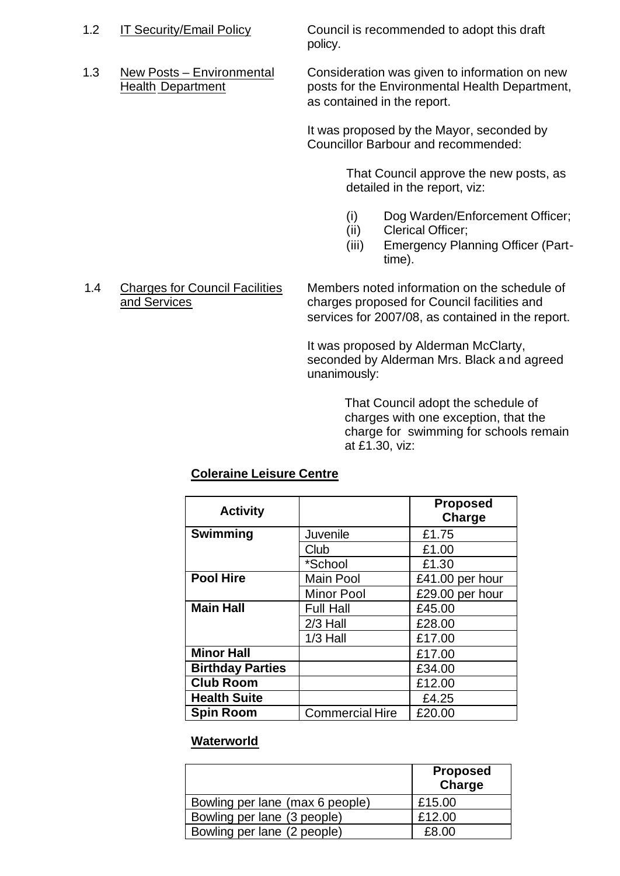1.2 IT Security/Email Policy Council is recommended to adopt this draft policy.

1.3 New Posts – Environmental Consideration was given to information on new Health Department posts for the Environmental Health Department, as contained in the report.

> It was proposed by the Mayor, seconded by Councillor Barbour and recommended:

> > That Council approve the new posts, as detailed in the report, viz:

- (i) Dog Warden/Enforcement Officer;
- (ii) Clerical Officer;
- (iii) Emergency Planning Officer (Parttime).

#### 1.4 Charges for Council Facilities Members noted information on the schedule of and Services charges proposed for Council facilities and services for 2007/08, as contained in the report.

It was proposed by Alderman McClarty, seconded by Alderman Mrs. Black and agreed unanimously:

> That Council adopt the schedule of charges with one exception, that the charge for swimming for schools remain at £1.30, viz:

# **Coleraine Leisure Centre**

| <b>Activity</b>         |                        | <b>Proposed</b><br>Charge |
|-------------------------|------------------------|---------------------------|
| <b>Swimming</b>         | Juvenile               | £1.75                     |
|                         | Club                   | £1.00                     |
|                         | *School                | £1.30                     |
| <b>Pool Hire</b>        | <b>Main Pool</b>       | £41.00 per hour           |
|                         | <b>Minor Pool</b>      | £29.00 per hour           |
| <b>Main Hall</b>        | <b>Full Hall</b>       | £45.00                    |
|                         | 2/3 Hall               | £28.00                    |
|                         | $1/3$ Hall             | £17.00                    |
| <b>Minor Hall</b>       |                        | £17.00                    |
| <b>Birthday Parties</b> |                        | £34.00                    |
| <b>Club Room</b>        |                        | £12.00                    |
| <b>Health Suite</b>     |                        | £4.25                     |
| <b>Spin Room</b>        | <b>Commercial Hire</b> | £20.00                    |

# **Waterworld**

|                                 | <b>Proposed</b><br>Charge |
|---------------------------------|---------------------------|
| Bowling per lane (max 6 people) | £15.00                    |
| Bowling per lane (3 people)     | £12.00                    |
| Bowling per lane (2 people)     | £8.00                     |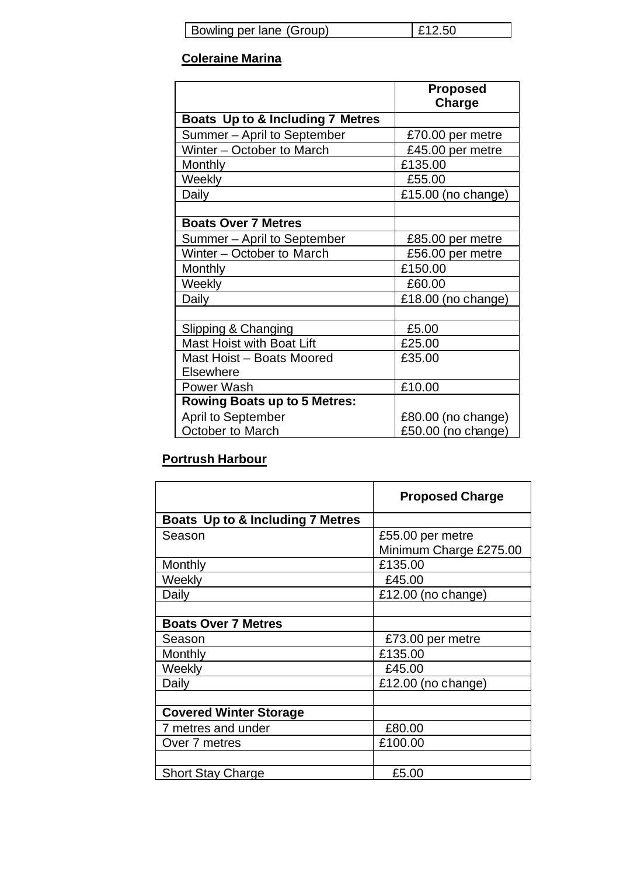| Bowling per lane (Group) |  | E12.50 |
|--------------------------|--|--------|
|--------------------------|--|--------|

# **Coleraine Marina**

|                                     | <b>Proposed</b><br>Charge |
|-------------------------------------|---------------------------|
| Boats Up to & Including 7 Metres    |                           |
| Summer - April to September         | £70.00 per metre          |
| Winter - October to March           | £45.00 per metre          |
| Monthly                             | £135.00                   |
| Weekly                              | £55.00                    |
| Daily                               | £15.00 (no change)        |
|                                     |                           |
| <b>Boats Over 7 Metres</b>          |                           |
| Summer - April to September         | £85.00 per metre          |
| Winter – October to March           | £56.00 per metre          |
| Monthly                             | £150.00                   |
| Weekly                              | £60.00                    |
| Daily                               | £18.00 (no change)        |
|                                     |                           |
| Slipping & Changing                 | £5.00                     |
| <b>Mast Hoist with Boat Lift</b>    | £25.00                    |
| Mast Hoist - Boats Moored           | £35.00                    |
| <b>Elsewhere</b>                    |                           |
| <b>Power Wash</b>                   | £10.00                    |
| <b>Rowing Boats up to 5 Metres:</b> |                           |
| April to September                  | £80.00 (no change)        |
| October to March                    | £50.00 (no change)        |

# **Portrush Harbour**

|                                  | <b>Proposed Charge</b> |
|----------------------------------|------------------------|
| Boats Up to & Including 7 Metres |                        |
| Season                           | £55.00 per metre       |
|                                  | Minimum Charge £275.00 |
| Monthly                          | £135.00                |
| Weekly                           | £45.00                 |
| Daily                            | £12.00 (no change)     |
|                                  |                        |
| <b>Boats Over 7 Metres</b>       |                        |
| Season                           | £73.00 per metre       |
| Monthly                          | £135.00                |
| Weekly                           | £45.00                 |
| Daily                            | £12.00 (no change)     |
|                                  |                        |
| <b>Covered Winter Storage</b>    |                        |
| 7 metres and under               | £80.00                 |
| Over 7 metres                    | £100.00                |
|                                  |                        |
| <b>Short Stay Charge</b>         | £5.00                  |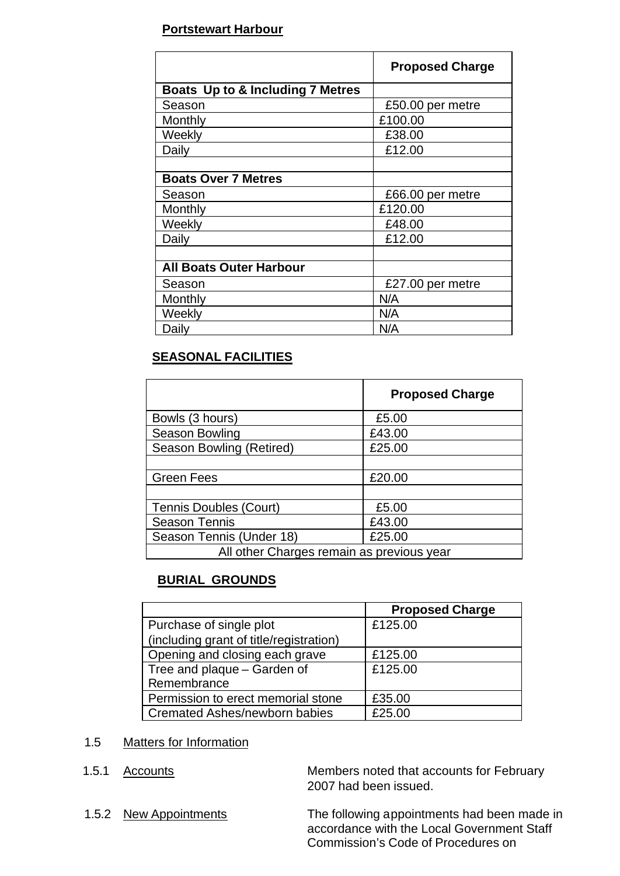### **Portstewart Harbour**

|                                  | <b>Proposed Charge</b> |
|----------------------------------|------------------------|
| Boats Up to & Including 7 Metres |                        |
| Season                           | £50.00 per metre       |
| Monthly                          | £100.00                |
| Weekly                           | £38.00                 |
| Daily                            | £12.00                 |
|                                  |                        |
| <b>Boats Over 7 Metres</b>       |                        |
| Season                           | £66.00 per metre       |
| Monthly                          | £120.00                |
| Weekly                           | £48.00                 |
| Daily                            | £12.00                 |
|                                  |                        |
| <b>All Boats Outer Harbour</b>   |                        |
| Season                           | £27.00 per metre       |
| Monthly                          | N/A                    |
| Weekly                           | N/A                    |
| Daily                            | N/A                    |

# **SEASONAL FACILITIES**

|                                           | <b>Proposed Charge</b> |  |
|-------------------------------------------|------------------------|--|
| Bowls (3 hours)                           | £5.00                  |  |
| Season Bowling                            | £43.00                 |  |
| Season Bowling (Retired)                  | £25.00                 |  |
|                                           |                        |  |
| <b>Green Fees</b>                         | £20.00                 |  |
|                                           |                        |  |
| <b>Tennis Doubles (Court)</b>             | £5.00                  |  |
| <b>Season Tennis</b>                      | £43.00                 |  |
| Season Tennis (Under 18)                  | £25.00                 |  |
| All other Charges remain as previous year |                        |  |

# **BURIAL GROUNDS**

|                                         | <b>Proposed Charge</b> |
|-----------------------------------------|------------------------|
| Purchase of single plot                 | £125.00                |
| (including grant of title/registration) |                        |
| Opening and closing each grave          | £125.00                |
| Tree and plaque - Garden of             | £125.00                |
| Remembrance                             |                        |
| Permission to erect memorial stone      | £35.00                 |
| <b>Cremated Ashes/newborn babies</b>    | £25.00                 |

# 1.5 Matters for Information

1.5.1 Accounts Members noted that accounts for February 2007 had been issued.

1.5.2 New Appointments The following appointments had been made in accordance with the Local Government Staff Commission's Code of Procedures on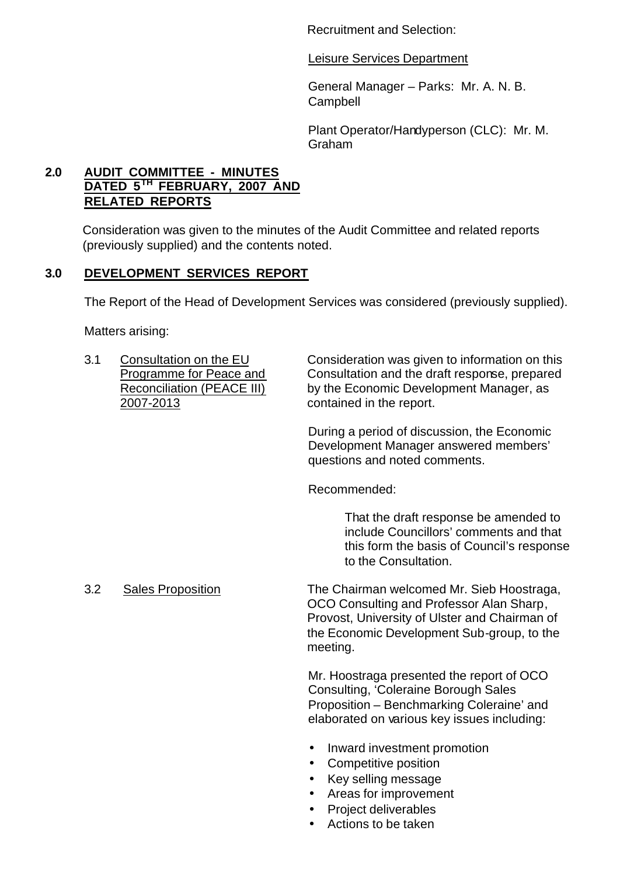Recruitment and Selection:

Leisure Services Department

General Manager – Parks: Mr. A. N. B. **Campbell** 

Plant Operator/Handyperson (CLC): Mr. M. Graham

# **2.0 AUDIT COMMITTEE - MINUTES DATED 5TH FEBRUARY, 2007 AND RELATED REPORTS**

Consideration was given to the minutes of the Audit Committee and related reports (previously supplied) and the contents noted.

# **3.0 DEVELOPMENT SERVICES REPORT**

The Report of the Head of Development Services was considered (previously supplied).

Matters arising:

2007-2013 contained in the report.

3.1 Consultation on the EU Consideration was given to information on this Programme for Peace and Consultation and the draft response, prepared Reconciliation (PEACE III) by the Economic Development Manager, as

> During a period of discussion, the Economic Development Manager answered members' questions and noted comments.

Recommended:

That the draft response be amended to include Councillors' comments and that this form the basis of Council's response to the Consultation.

3.2 Sales Proposition The Chairman welcomed Mr. Sieb Hoostraga, OCO Consulting and Professor Alan Sharp, Provost, University of Ulster and Chairman of the Economic Development Sub-group, to the meeting.

> Mr. Hoostraga presented the report of OCO Consulting, 'Coleraine Borough Sales Proposition – Benchmarking Coleraine' and elaborated on various key issues including:

- Inward investment promotion
- Competitive position
- Key selling message
- Areas for improvement
- Project deliverables
- Actions to be taken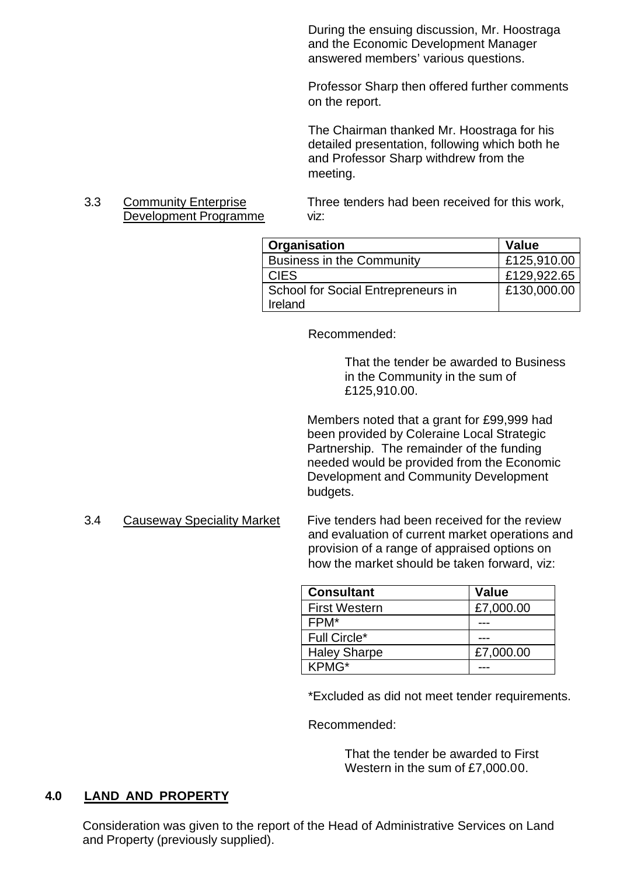During the ensuing discussion, Mr. Hoostraga and the Economic Development Manager answered members' various questions.

Professor Sharp then offered further comments on the report.

The Chairman thanked Mr. Hoostraga for his detailed presentation, following which both he and Professor Sharp withdrew from the meeting.

# Development Programme viz:

3.3 Community Enterprise Three tenders had been received for this work,

| Organisation                                  | Value       |
|-----------------------------------------------|-------------|
| <b>Business in the Community</b>              | £125,910.00 |
| <b>CIES</b>                                   | £129,922.65 |
| School for Social Entrepreneurs in<br>Ireland | £130,000.00 |

Recommended:

That the tender be awarded to Business in the Community in the sum of £125,910.00.

Members noted that a grant for £99,999 had been provided by Coleraine Local Strategic Partnership. The remainder of the funding needed would be provided from the Economic Development and Community Development budgets.

3.4 Causeway Speciality Market Five tenders had been received for the review and evaluation of current market operations and provision of a range of appraised options on how the market should be taken forward, viz:

| <b>Consultant</b>    | <b>Value</b> |
|----------------------|--------------|
| <b>First Western</b> | £7,000.00    |
| FPM*                 |              |
| <b>Full Circle*</b>  |              |
| <b>Haley Sharpe</b>  | £7,000.00    |
| KPMG*                |              |

\*Excluded as did not meet tender requirements.

Recommended:

That the tender be awarded to First Western in the sum of £7,000.00.

# **4.0 LAND AND PROPERTY**

Consideration was given to the report of the Head of Administrative Services on Land and Property (previously supplied).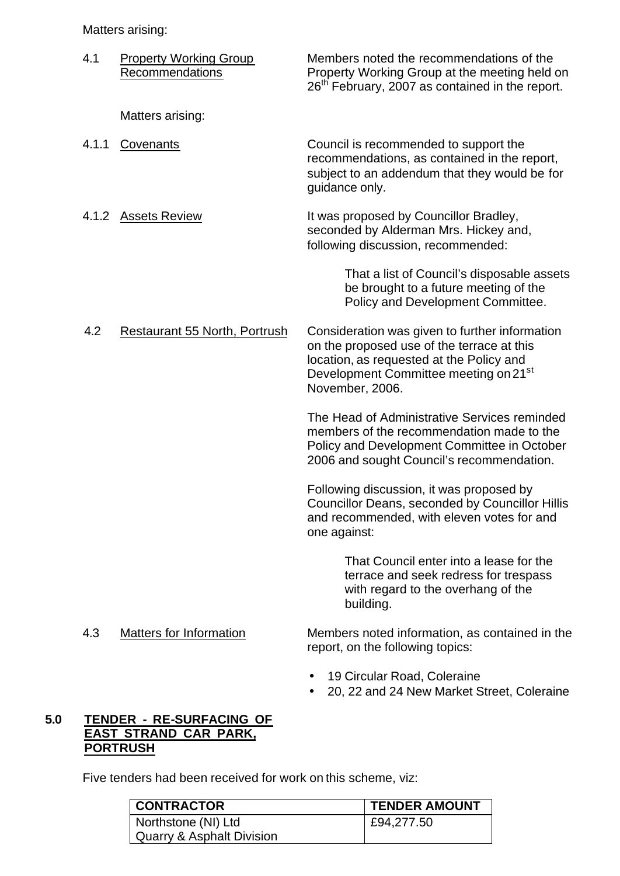Matters arising:

| 4.1   | <b>Property Working Group</b><br>Recommendations | Members noted the recommendations of the<br>Property Working Group at the meeting held on<br>26 <sup>th</sup> February, 2007 as contained in the report.                                                         |
|-------|--------------------------------------------------|------------------------------------------------------------------------------------------------------------------------------------------------------------------------------------------------------------------|
|       | Matters arising:                                 |                                                                                                                                                                                                                  |
| 4.1.1 | Covenants                                        | Council is recommended to support the<br>recommendations, as contained in the report,<br>subject to an addendum that they would be for<br>guidance only.                                                         |
| 4.1.2 | <b>Assets Review</b>                             | It was proposed by Councillor Bradley,<br>seconded by Alderman Mrs. Hickey and,<br>following discussion, recommended:                                                                                            |
|       |                                                  | That a list of Council's disposable assets<br>be brought to a future meeting of the<br>Policy and Development Committee.                                                                                         |
| 4.2   | <b>Restaurant 55 North, Portrush</b>             | Consideration was given to further information<br>on the proposed use of the terrace at this<br>location, as requested at the Policy and<br>Development Committee meeting on 21 <sup>st</sup><br>November, 2006. |
|       |                                                  | The Head of Administrative Services reminded<br>members of the recommendation made to the<br>Policy and Development Committee in October<br>2006 and sought Council's recommendation.                            |
|       |                                                  | Following discussion, it was proposed by<br><b>Councillor Deans, seconded by Councillor Hillis</b><br>and recommended, with eleven votes for and<br>one against:                                                 |
|       |                                                  | That Council enter into a lease for the<br>terrace and seek redress for trespass<br>with regard to the overhang of the<br>building.                                                                              |
| 4.3   | <b>Matters for Information</b>                   | Members noted information, as contained in the<br>report, on the following topics:                                                                                                                               |
|       |                                                  | 19 Circular Road, Coleraine                                                                                                                                                                                      |

• 20, 22 and 24 New Market Street, Coleraine

# **5.0 TENDER - RE-SURFACING OF EAST STRAND CAR PARK, PORTRUSH**

Five tenders had been received for work on this scheme, viz:

| <b>CONTRACTOR</b>         | <b>TENDER AMOUNT</b> |
|---------------------------|----------------------|
| Northstone (NI) Ltd       | £94,277.50           |
| Quarry & Asphalt Division |                      |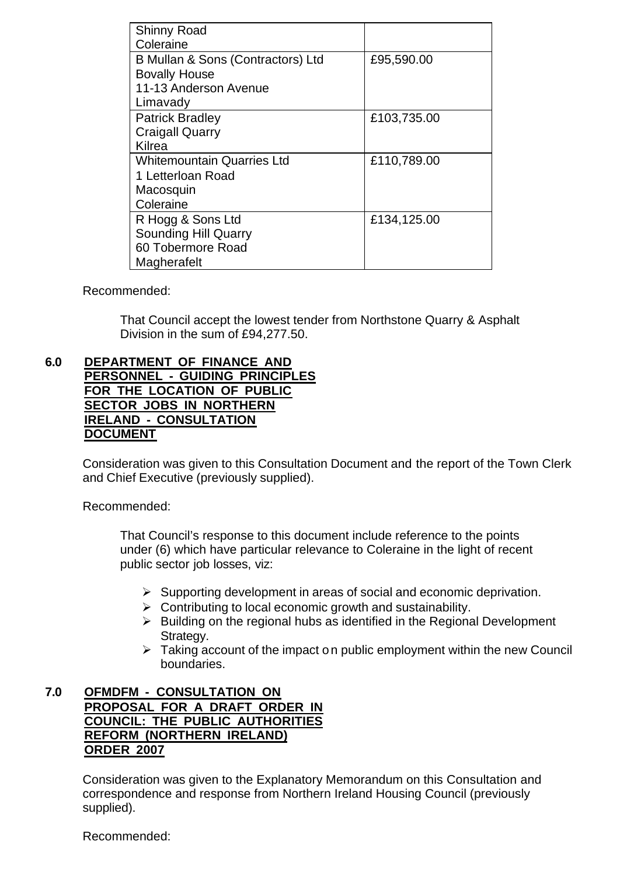| <b>Shinny Road</b>                |             |
|-----------------------------------|-------------|
| Coleraine                         |             |
| B Mullan & Sons (Contractors) Ltd | £95,590.00  |
| <b>Bovally House</b>              |             |
| 11-13 Anderson Avenue             |             |
| Limavady                          |             |
| <b>Patrick Bradley</b>            | £103,735.00 |
| <b>Craigall Quarry</b>            |             |
| Kilrea                            |             |
| <b>Whitemountain Quarries Ltd</b> | £110,789.00 |
| 1 Letterloan Road                 |             |
| Macosquin                         |             |
| Coleraine                         |             |
| R Hogg & Sons Ltd                 | £134,125.00 |
| <b>Sounding Hill Quarry</b>       |             |
| 60 Tobermore Road                 |             |
| Magherafelt                       |             |

Recommended:

That Council accept the lowest tender from Northstone Quarry & Asphalt Division in the sum of £94,277.50.

#### **6.0 DEPARTMENT OF FINANCE AND PERSONNEL - GUIDING PRINCIPLES FOR THE LOCATION OF PUBLIC SECTOR JOBS IN NORTHERN IRELAND - CONSULTATION DOCUMENT**

Consideration was given to this Consultation Document and the report of the Town Clerk and Chief Executive (previously supplied).

Recommended:

That Council's response to this document include reference to the points under (6) which have particular relevance to Coleraine in the light of recent public sector job losses, viz:

- $\triangleright$  Supporting development in areas of social and economic deprivation.
- $\triangleright$  Contributing to local economic growth and sustainability.
- $\triangleright$  Building on the regional hubs as identified in the Regional Development Strategy.
- $\triangleright$  Taking account of the impact on public employment within the new Council boundaries.

#### **7.0 OFMDFM - CONSULTATION ON PROPOSAL FOR A DRAFT ORDER IN COUNCIL: THE PUBLIC AUTHORITIES REFORM (NORTHERN IRELAND) ORDER 2007**

Consideration was given to the Explanatory Memorandum on this Consultation and correspondence and response from Northern Ireland Housing Council (previously supplied).

Recommended: